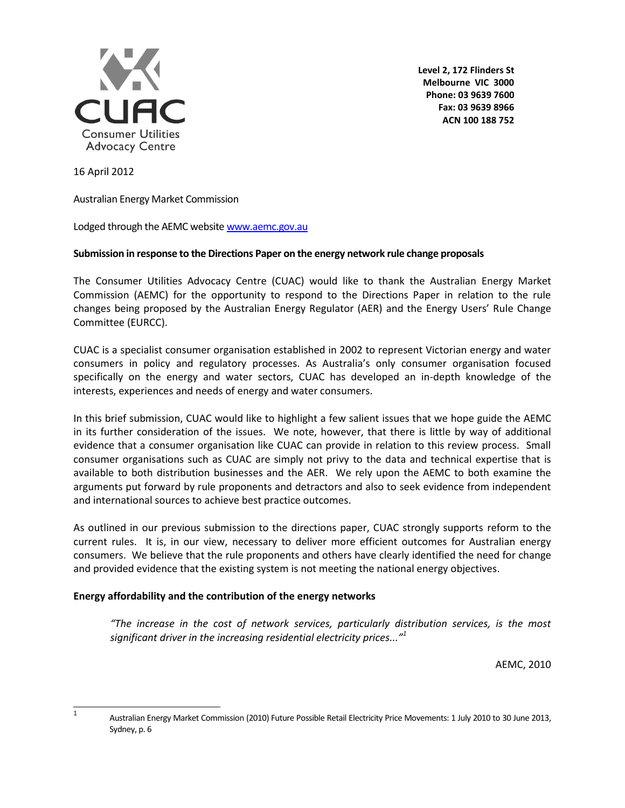

**Level 2, 172 Flinders St Melbourne VIC 3000 Phone: 03 9639 7600 Fax: 03 9639 8966 ACN 100 188 752**

16 April 2012

Australian Energy Market Commission

Lodged through the AEMC websit[e www.aemc.gov.au](http://www.aemc.gov.au/)

### **Submission in response to the Directions Paper on the energy network rule change proposals**

The Consumer Utilities Advocacy Centre (CUAC) would like to thank the Australian Energy Market Commission (AEMC) for the opportunity to respond to the Directions Paper in relation to the rule changes being proposed by the Australian Energy Regulator (AER) and the Energy Users' Rule Change Committee (EURCC).

CUAC is a specialist consumer organisation established in 2002 to represent Victorian energy and water consumers in policy and regulatory processes. As Australia's only consumer organisation focused specifically on the energy and water sectors, CUAC has developed an in-depth knowledge of the interests, experiences and needs of energy and water consumers.

In this brief submission, CUAC would like to highlight a few salient issues that we hope guide the AEMC in its further consideration of the issues. We note, however, that there is little by way of additional evidence that a consumer organisation like CUAC can provide in relation to this review process. Small consumer organisations such as CUAC are simply not privy to the data and technical expertise that is available to both distribution businesses and the AER. We rely upon the AEMC to both examine the arguments put forward by rule proponents and detractors and also to seek evidence from independent and international sources to achieve best practice outcomes.

As outlined in our previous submission to the directions paper, CUAC strongly supports reform to the current rules. It is, in our view, necessary to deliver more efficient outcomes for Australian energy consumers. We believe that the rule proponents and others have clearly identified the need for change and provided evidence that the existing system is not meeting the national energy objectives.

### **Energy affordability and the contribution of the energy networks**

*"The increase in the cost of network services, particularly distribution services, is the most significant driver in the increasing residential electricity prices..."<sup>1</sup>*

AEMC, 2010

|<br>1

Australian Energy Market Commission (2010) Future Possible Retail Electricity Price Movements: 1 July 2010 to 30 June 2013, Sydney, p. 6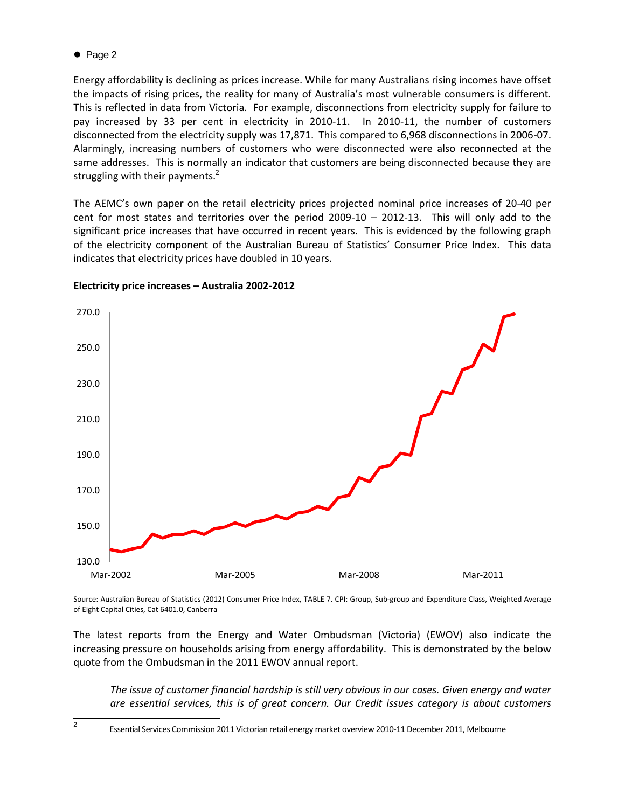$\bullet$  Page 2

Energy affordability is declining as prices increase. While for many Australians rising incomes have offset the impacts of rising prices, the reality for many of Australia's most vulnerable consumers is different. This is reflected in data from Victoria. For example, disconnections from electricity supply for failure to pay increased by 33 per cent in electricity in 2010-11. In 2010-11, the number of customers disconnected from the electricity supply was 17,871. This compared to 6,968 disconnections in 2006-07. Alarmingly, increasing numbers of customers who were disconnected were also reconnected at the same addresses. This is normally an indicator that customers are being disconnected because they are struggling with their payments. $<sup>2</sup>$ </sup>

The AEMC's own paper on the retail electricity prices projected nominal price increases of 20-40 per cent for most states and territories over the period 2009-10 – 2012-13. This will only add to the significant price increases that have occurred in recent years. This is evidenced by the following graph of the electricity component of the Australian Bureau of Statistics' Consumer Price Index. This data indicates that electricity prices have doubled in 10 years.



# **Electricity price increases – Australia 2002-2012**

Source: Australian Bureau of Statistics (2012) Consumer Price Index, TABLE 7. CPI: Group, Sub-group and Expenditure Class, Weighted Average of Eight Capital Cities, Cat 6401.0, Canberra

The latest reports from the Energy and Water Ombudsman (Victoria) (EWOV) also indicate the increasing pressure on households arising from energy affordability. This is demonstrated by the below quote from the Ombudsman in the 2011 EWOV annual report.

*The issue of customer financial hardship is still very obvious in our cases. Given energy and water are essential services, this is of great concern. Our Credit issues category is about customers* 

<sup>2</sup>

Essential Services Commission 2011 Victorian retail energy market overview 2010-11 December 2011, Melbourne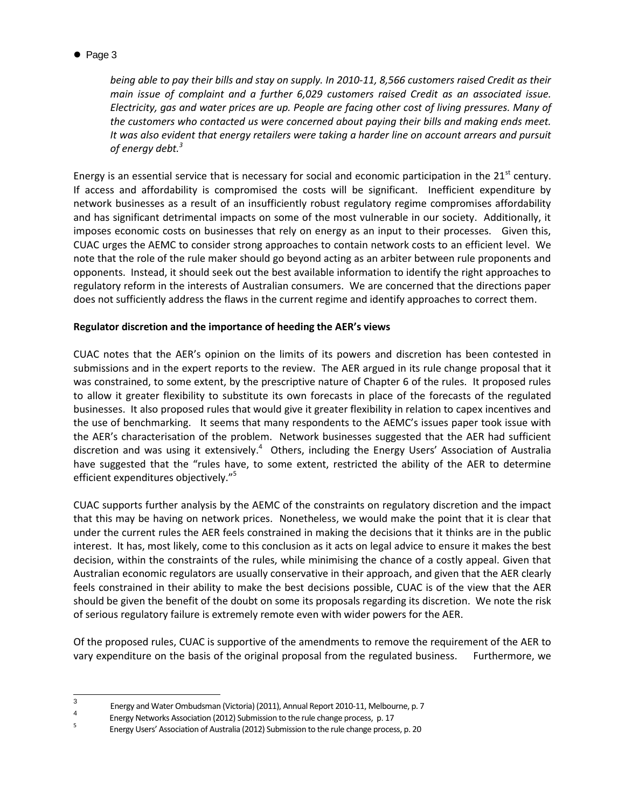• Page 3

*being able to pay their bills and stay on supply. In 2010-11, 8,566 customers raised Credit as their main issue of complaint and a further 6,029 customers raised Credit as an associated issue. Electricity, gas and water prices are up. People are facing other cost of living pressures. Many of the customers who contacted us were concerned about paying their bills and making ends meet. It was also evident that energy retailers were taking a harder line on account arrears and pursuit of energy debt.<sup>3</sup>*

Energy is an essential service that is necessary for social and economic participation in the  $21<sup>st</sup>$  century. If access and affordability is compromised the costs will be significant. Inefficient expenditure by network businesses as a result of an insufficiently robust regulatory regime compromises affordability and has significant detrimental impacts on some of the most vulnerable in our society. Additionally, it imposes economic costs on businesses that rely on energy as an input to their processes. Given this, CUAC urges the AEMC to consider strong approaches to contain network costs to an efficient level. We note that the role of the rule maker should go beyond acting as an arbiter between rule proponents and opponents. Instead, it should seek out the best available information to identify the right approaches to regulatory reform in the interests of Australian consumers. We are concerned that the directions paper does not sufficiently address the flaws in the current regime and identify approaches to correct them.

# **Regulator discretion and the importance of heeding the AER's views**

CUAC notes that the AER's opinion on the limits of its powers and discretion has been contested in submissions and in the expert reports to the review. The AER argued in its rule change proposal that it was constrained, to some extent, by the prescriptive nature of Chapter 6 of the rules. It proposed rules to allow it greater flexibility to substitute its own forecasts in place of the forecasts of the regulated businesses. It also proposed rules that would give it greater flexibility in relation to capex incentives and the use of benchmarking. It seems that many respondents to the AEMC's issues paper took issue with the AER's characterisation of the problem. Network businesses suggested that the AER had sufficient discretion and was using it extensively.<sup>4</sup> Others, including the Energy Users' Association of Australia have suggested that the "rules have, to some extent, restricted the ability of the AER to determine efficient expenditures objectively." 5

CUAC supports further analysis by the AEMC of the constraints on regulatory discretion and the impact that this may be having on network prices. Nonetheless, we would make the point that it is clear that under the current rules the AER feels constrained in making the decisions that it thinks are in the public interest. It has, most likely, come to this conclusion as it acts on legal advice to ensure it makes the best decision, within the constraints of the rules, while minimising the chance of a costly appeal. Given that Australian economic regulators are usually conservative in their approach, and given that the AER clearly feels constrained in their ability to make the best decisions possible, CUAC is of the view that the AER should be given the benefit of the doubt on some its proposals regarding its discretion. We note the risk of serious regulatory failure is extremely remote even with wider powers for the AER.

Of the proposed rules, CUAC is supportive of the amendments to remove the requirement of the AER to vary expenditure on the basis of the original proposal from the regulated business. Furthermore, we

<sup>-&</sup>lt;br>3 Energy and Water Ombudsman (Victoria) (2011), Annual Report 2010-11, Melbourne, p. 7

<sup>4</sup> Energy Networks Association (2012) Submission to the rule change process, p. 17

<sup>5</sup> Energy Users' Association of Australia (2012) Submission to the rule change process, p. 20